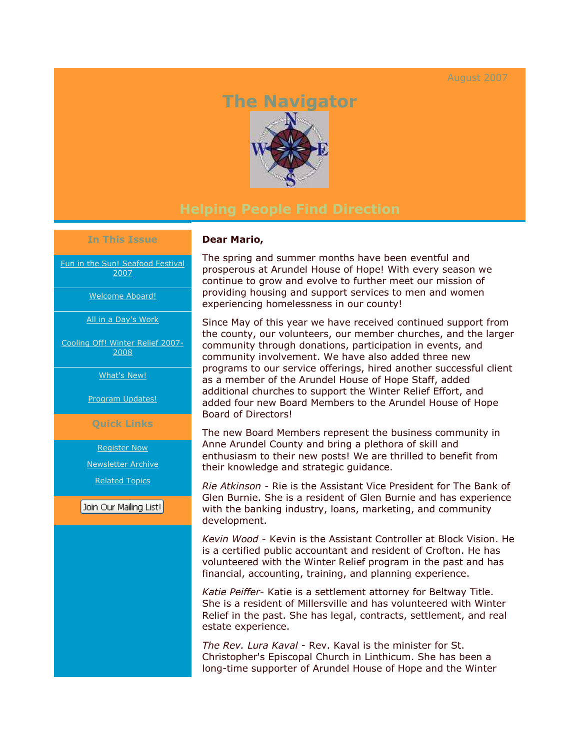## August 2007

# **The Navigator**



#### **In This Issue**

[Fun in the Sun! Seafood Festival](https://ui.constantcontact.com/visualeditor/visual_editor_preview.jsp?agent.uid=1101750261296&fromView=previewFromDetail&popin=true&previewFromDetail=true&previewFromSent=true&pageName=ecampaign.ve.edit#LETTER.BLOCK7)  [2007](https://ui.constantcontact.com/visualeditor/visual_editor_preview.jsp?agent.uid=1101750261296&fromView=previewFromDetail&popin=true&previewFromDetail=true&previewFromSent=true&pageName=ecampaign.ve.edit#LETTER.BLOCK7)

[Welcome Aboard!](https://ui.constantcontact.com/visualeditor/visual_editor_preview.jsp?agent.uid=1101750261296&fromView=previewFromDetail&popin=true&previewFromDetail=true&previewFromSent=true&pageName=ecampaign.ve.edit#LETTER.BLOCK8) 

[All in a Day's Work](https://ui.constantcontact.com/visualeditor/visual_editor_preview.jsp?agent.uid=1101750261296&fromView=previewFromDetail&popin=true&previewFromDetail=true&previewFromSent=true&pageName=ecampaign.ve.edit#LETTER.BLOCK9)

[Cooling Off! Winter Relief 2007-](https://ui.constantcontact.com/visualeditor/visual_editor_preview.jsp?agent.uid=1101750261296&fromView=previewFromDetail&popin=true&previewFromDetail=true&previewFromSent=true&pageName=ecampaign.ve.edit#LETTER.BLOCK10) [2008](https://ui.constantcontact.com/visualeditor/visual_editor_preview.jsp?agent.uid=1101750261296&fromView=previewFromDetail&popin=true&previewFromDetail=true&previewFromSent=true&pageName=ecampaign.ve.edit#LETTER.BLOCK10)

[What's New!](https://ui.constantcontact.com/visualeditor/visual_editor_preview.jsp?agent.uid=1101750261296&fromView=previewFromDetail&popin=true&previewFromDetail=true&previewFromSent=true&pageName=ecampaign.ve.edit#LETTER.BLOCK11) 

[Program Updates!](https://ui.constantcontact.com/visualeditor/visual_editor_preview.jsp?agent.uid=1101750261296&fromView=previewFromDetail&popin=true&previewFromDetail=true&previewFromSent=true&pageName=ecampaign.ve.edit#LETTER.BLOCK12)

### **Quick Links**

[Register Now](http://r20.rs6.net/tn.jsp?llr=ephtatbab&et=1101750261296&s=0&e=001s-Q_Gq1yyF_9Wn4dSx7iTpzPUOX8QK5ZZkBVJL6402TDKDUc60ecBGfzpbp7XGDVq8FbfcS7usE31YEiTpXumGlwgdzliu9280CVk5UA58WsNAAAZ9ubCg==)

[Newsletter Archive](http://r20.rs6.net/tn.jsp?llr=ephtatbab&et=1101750261296&s=0&e=001s-Q_Gq1yyF_9Wn4dSx7iTpzPUOX8QK5ZZkBVJL6402TDKDUc60ecBGfzpbp7XGDVq8FbfcS7usE31YEiTpXumGlwgdzliu9280CVk5UA58WsNAAAZ9ubCg==)

[Related Topics](http://r20.rs6.net/tn.jsp?llr=ephtatbab&et=1101750261296&s=0&e=001s-Q_Gq1yyF_9Wn4dSx7iTpzPUOX8QK5ZZkBVJL6402TDKDUc60ecBGfzpbp7XGDVq8FbfcS7usE31YEiTpXumGlwgdzliu9280CVk5UA58WsNAAAZ9ubCg==)

Join Our Mailing List!

## **Dear Mario,**

The spring and summer months have been eventful and prosperous at Arundel House of Hope! With every season we continue to grow and evolve to further meet our mission of providing housing and support services to men and women experiencing homelessness in our county!

Since May of this year we have received continued support from the county, our volunteers, our member churches, and the larger community through donations, participation in events, and community involvement. We have also added three new programs to our service offerings, hired another successful client as a member of the Arundel House of Hope Staff, added additional churches to support the Winter Relief Effort, and added four new Board Members to the Arundel House of Hope Board of Directors!

The new Board Members represent the business community in Anne Arundel County and bring a plethora of skill and enthusiasm to their new posts! We are thrilled to benefit from their knowledge and strategic guidance.

*Rie Atkinson* - Rie is the Assistant Vice President for The Bank of Glen Burnie. She is a resident of Glen Burnie and has experience with the banking industry, loans, marketing, and community development.

*Kevin Wood* - Kevin is the Assistant Controller at Block Vision. He is a certified public accountant and resident of Crofton. He has volunteered with the Winter Relief program in the past and has financial, accounting, training, and planning experience.

*Katie Peiffer*- Katie is a settlement attorney for Beltway Title. She is a resident of Millersville and has volunteered with Winter Relief in the past. She has legal, contracts, settlement, and real estate experience.

*The Rev. Lura Kaval* - Rev. Kaval is the minister for St. Christopher's Episcopal Church in Linthicum. She has been a long-time supporter of Arundel House of Hope and the Winter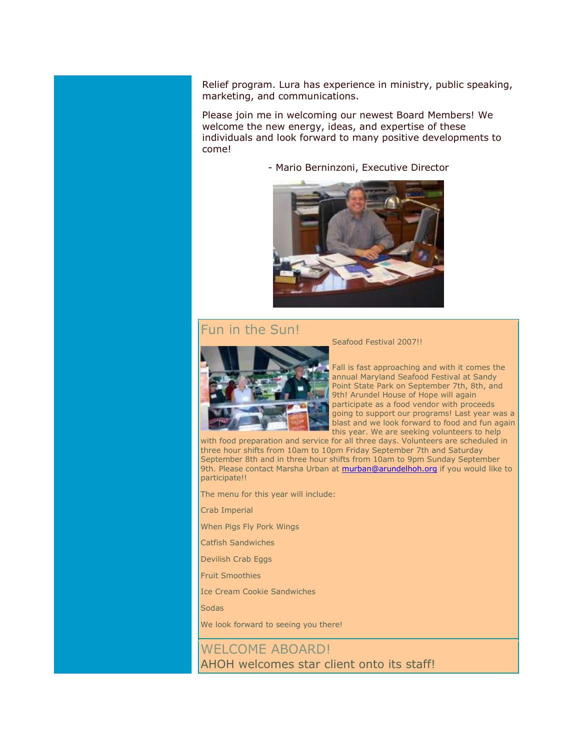Relief program. Lura has experience in ministry, public speaking, marketing, and communications.

Please join me in welcoming our newest Board Members! We welcome the new energy, ideas, and expertise of these individuals and look forward to many positive developments to come!

- Mario Berninzoni, Executive Director



## Fun in the Sun!



Seafood Festival 2007!!

Fall is fast approaching and with it comes the annual Maryland Seafood Festival at Sandy Point State Park on September 7th, 8th, and 9th! Arundel House of Hope will again participate as a food vendor with proceeds going to support our programs! Last year was a blast and we look forward to food and fun again this year. We are seeking volunteers to help

with food preparation and service for all three days. Volunteers are scheduled in three hour shifts from 10am to 10pm Friday September 7th and Saturday September 8th and in three hour shifts from 10am to 9pm Sunday September 9th. Please contact Marsha Urban at [murban@arundelhoh.org](mailto:murban@arundelhoh.org) if you would like to participate!!

The menu for this year will include:

Crab Imperial

When Pigs Fly Pork Wings

Catfish Sandwiches

Devilish Crab Eggs

Fruit Smoothies

Ice Cream Cookie Sandwiches

Sodas

We look forward to seeing you there!

## WELCOME ABOARD! AHOH welcomes star client onto its staff!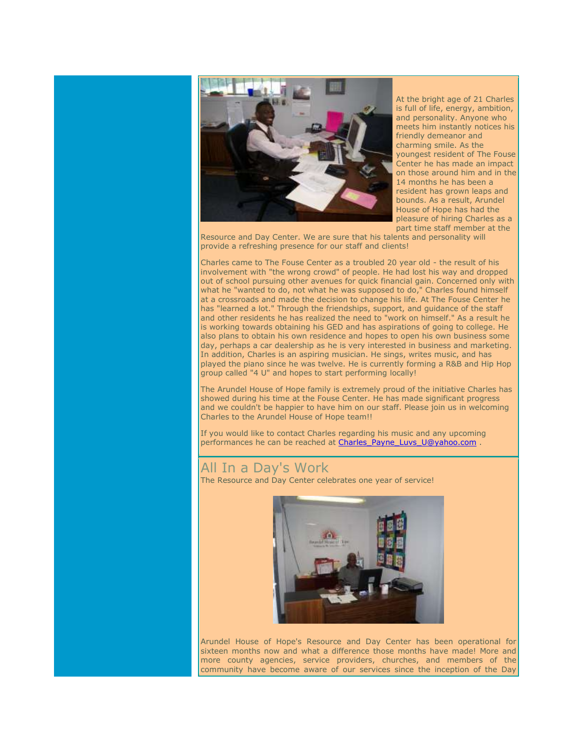

At the bright age of 21 Charles is full of life, energy, ambition, and personality. Anyone who meets him instantly notices his friendly demeanor and charming smile. As the youngest resident of The Fouse Center he has made an impact on those around him and in the 14 months he has been a resident has grown leaps and bounds. As a result, Arundel House of Hope has had the pleasure of hiring Charles as a part time staff member at the

Resource and Day Center. We are sure that his talents and personality will provide a refreshing presence for our staff and clients!

Charles came to The Fouse Center as a troubled 20 year old - the result of his involvement with "the wrong crowd" of people. He had lost his way and dropped out of school pursuing other avenues for quick financial gain. Concerned only with what he "wanted to do, not what he was supposed to do," Charles found himself at a crossroads and made the decision to change his life. At The Fouse Center he has "learned a lot." Through the friendships, support, and guidance of the staff and other residents he has realized the need to "work on himself." As a result he is working towards obtaining his GED and has aspirations of going to college. He also plans to obtain his own residence and hopes to open his own business some day, perhaps a car dealership as he is very interested in business and marketing. In addition, Charles is an aspiring musician. He sings, writes music, and has played the piano since he was twelve. He is currently forming a R&B and Hip Hop group called "4 U" and hopes to start performing locally!

The Arundel House of Hope family is extremely proud of the initiative Charles has showed during his time at the Fouse Center. He has made significant progress and we couldn't be happier to have him on our staff. Please join us in welcoming Charles to the Arundel House of Hope team!!

If you would like to contact Charles regarding his music and any upcoming performances he can be reached at Charles Payne\_Luvs\_U@yahoo.com .

## All In a Day's Work

The Resource and Day Center celebrates one year of service!



Arundel House of Hope's Resource and Day Center has been operational for sixteen months now and what a difference those months have made! More and more county agencies, service providers, churches, and members of the community have become aware of our services since the inception of the Day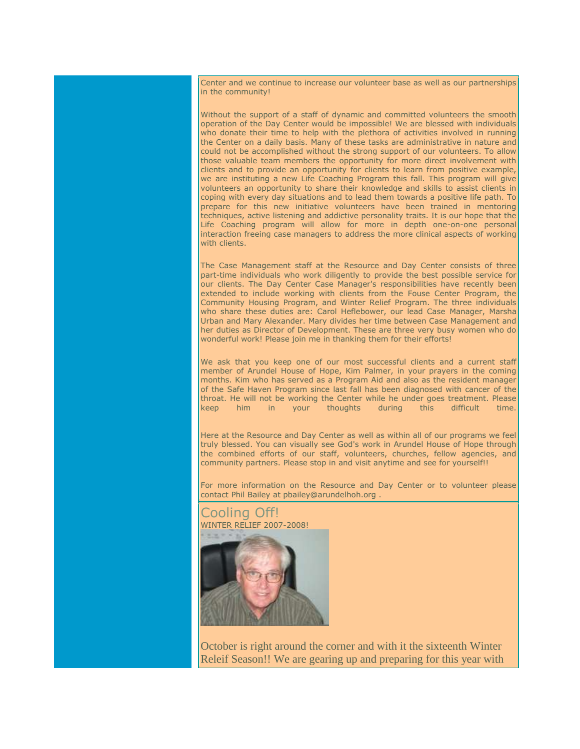Center and we continue to increase our volunteer base as well as our partnerships in the community!

Without the support of a staff of dynamic and committed volunteers the smooth operation of the Day Center would be impossible! We are blessed with individuals who donate their time to help with the plethora of activities involved in running the Center on a daily basis. Many of these tasks are administrative in nature and could not be accomplished without the strong support of our volunteers. To allow those valuable team members the opportunity for more direct involvement with clients and to provide an opportunity for clients to learn from positive example, we are instituting a new Life Coaching Program this fall. This program will give volunteers an opportunity to share their knowledge and skills to assist clients in coping with every day situations and to lead them towards a positive life path. To prepare for this new initiative volunteers have been trained in mentoring techniques, active listening and addictive personality traits. It is our hope that the Life Coaching program will allow for more in depth one-on-one personal interaction freeing case managers to address the more clinical aspects of working with clients.

The Case Management staff at the Resource and Day Center consists of three part-time individuals who work diligently to provide the best possible service for our clients. The Day Center Case Manager's responsibilities have recently been extended to include working with clients from the Fouse Center Program, the Community Housing Program, and Winter Relief Program. The three individuals who share these duties are: Carol Heflebower, our lead Case Manager, Marsha Urban and Mary Alexander. Mary divides her time between Case Management and her duties as Director of Development. These are three very busy women who do wonderful work! Please join me in thanking them for their efforts!

We ask that you keep one of our most successful clients and a current staff member of Arundel House of Hope, Kim Palmer, in your prayers in the coming months. Kim who has served as a Program Aid and also as the resident manager of the Safe Haven Program since last fall has been diagnosed with cancer of the throat. He will not be working the Center while he under goes treatment. Please keep him in your thoughts during this difficult time.

Here at the Resource and Day Center as well as within all of our programs we feel truly blessed. You can visually see God's work in Arundel House of Hope through the combined efforts of our staff, volunteers, churches, fellow agencies, and community partners. Please stop in and visit anytime and see for yourself!!

For more information on the Resource and Day Center or to volunteer please contact Phil Bailey at pbailey@arundelhoh.org .



October is right around the corner and with it the sixteenth Winter Releif Season!! We are gearing up and preparing for this year with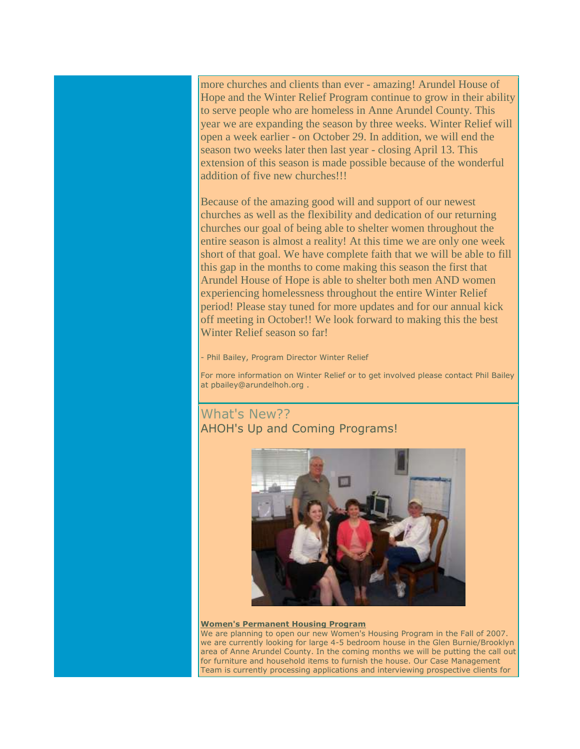more churches and clients than ever - amazing! Arundel House of Hope and the Winter Relief Program continue to grow in their ability to serve people who are homeless in Anne Arundel County. This year we are expanding the season by three weeks. Winter Relief will open a week earlier - on October 29. In addition, we will end the season two weeks later then last year - closing April 13. This extension of this season is made possible because of the wonderful addition of five new churches!!!

Because of the amazing good will and support of our newest churches as well as the flexibility and dedication of our returning churches our goal of being able to shelter women throughout the entire season is almost a reality! At this time we are only one week short of that goal. We have complete faith that we will be able to fill this gap in the months to come making this season the first that Arundel House of Hope is able to shelter both men AND women experiencing homelessness throughout the entire Winter Relief period! Please stay tuned for more updates and for our annual kick off meeting in October!! We look forward to making this the best Winter Relief season so far!

Phil Bailey, Program Director Winter Relief

For more information on Winter Relief or to get involved please contact Phil Bailey at pbailey@arundelhoh.org .

## What's New?? AHOH's Up and Coming Programs!



#### **Women's Permanent Housing Program**

We are planning to open our new Women's Housing Program in the Fall of 2007. we are currently looking for large 4-5 bedroom house in the Glen Burnie/Brooklyn area of Anne Arundel County. In the coming months we will be putting the call out for furniture and household items to furnish the house. Our Case Management Team is currently processing applications and interviewing prospective clients for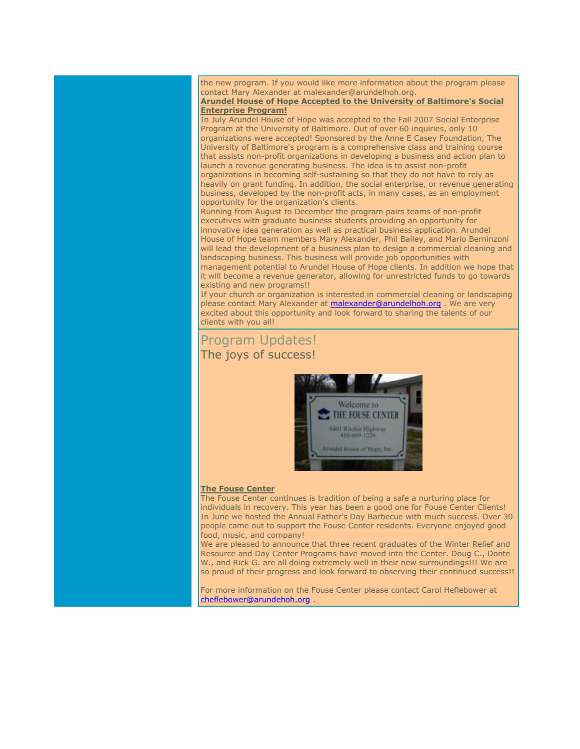the new program. If you would like more information about the program please contact Mary Alexander at malexander@arundelhoh.org.

**Arundel House of Hope Accepted to the University of Baltimore's Social Enterprise Program!**

In July Arundel House of Hope was accepted to the Fall 2007 Social Enterprise Program at the University of Baltimore. Out of over 60 inquiries, only 10 organizations were accepted! Sponsored by the Anne E Casey Foundation, The University of Baltimore's program is a comprehensive class and training course that assists non-profit organizations in developing a business and action plan to launch a revenue generating business. The idea is to assist non-profit organizations in becoming self-sustaining so that they do not have to rely as

heavily on grant funding. In addition, the social enterprise, or revenue generating business, developed by the non-profit acts, in many cases, as an employment opportunity for the organization's clients.

Running from August to December the program pairs teams of non-profit executives with graduate business students providing an opportunity for innovative idea generation as well as practical business application. Arundel House of Hope team members Mary Alexander, Phil Bailey, and Mario Berninzoni will lead the development of a business plan to design a commercial cleaning and landscaping business. This business will provide job opportunities with

management potential to Arundel House of Hope clients. In addition we hope that it will become a revenue generator, allowing for unrestricted funds to go towards existing and new programs!!

If your church or organization is interested in commercial cleaning or landscaping please contact Mary Alexander at **malexander@arundelhoh.org** . We are very excited about this opportunity and look forward to sharing the talents of our clients with you all!

## Program Updates! The joys of success!



#### **The Fouse Center**

The Fouse Center continues is tradition of being a safe a nurturing place for individuals in recovery. This year has been a good one for Fouse Center Clients! In June we hosted the Annual Father's Day Barbecue with much success. Over 30 people came out to support the Fouse Center residents. Everyone enjoyed good food, music, and company!

We are pleased to announce that three recent graduates of the Winter Relief and Resource and Day Center Programs have moved into the Center. Doug C., Donte W., and Rick G. are all doing extremely well in their new surroundings!!! We are so proud of their progress and look forward to observing their continued success!!

For more information on the Fouse Center please contact Carol Heflebower at [cheflebower@arundehoh.org](mailto:cheflebower@arundehoh.org) .